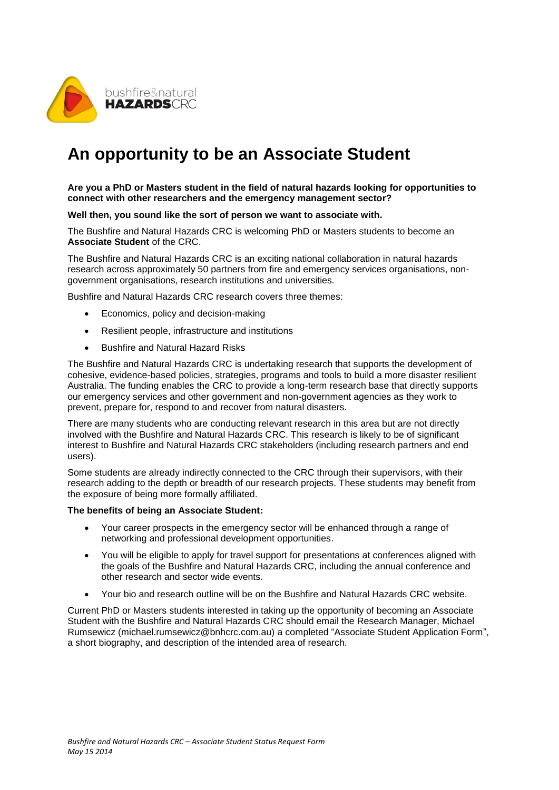

## **An opportunity to be an Associate Student**

**Are you a PhD or Masters student in the field of natural hazards looking for opportunities to connect with other researchers and the emergency management sector?**

**Well then, you sound like the sort of person we want to associate with.**

The Bushfire and Natural Hazards CRC is welcoming PhD or Masters students to become an **Associate Student** of the CRC.

The Bushfire and Natural Hazards CRC is an exciting national collaboration in natural hazards research across approximately 50 partners from fire and emergency services organisations, nongovernment organisations, research institutions and universities.

Bushfire and Natural Hazards CRC research covers three themes:

- Economics, policy and decision-making
- Resilient people, infrastructure and institutions
- Bushfire and Natural Hazard Risks

The Bushfire and Natural Hazards CRC is undertaking research that supports the development of cohesive, evidence-based policies, strategies, programs and tools to build a more disaster resilient Australia. The funding enables the CRC to provide a long-term research base that directly supports our emergency services and other government and non-government agencies as they work to prevent, prepare for, respond to and recover from natural disasters.

There are many students who are conducting relevant research in this area but are not directly involved with the Bushfire and Natural Hazards CRC. This research is likely to be of significant interest to Bushfire and Natural Hazards CRC stakeholders (including research partners and end users).

Some students are already indirectly connected to the CRC through their supervisors, with their research adding to the depth or breadth of our research projects. These students may benefit from the exposure of being more formally affiliated.

## **The benefits of being an Associate Student:**

- Your career prospects in the emergency sector will be enhanced through a range of networking and professional development opportunities.
- You will be eligible to apply for travel support for presentations at conferences aligned with the goals of the Bushfire and Natural Hazards CRC, including the annual conference and other research and sector wide events.
- Your bio and research outline will be on the Bushfire and Natural Hazards CRC website.

Current PhD or Masters students interested in taking up the opportunity of becoming an Associate Student with the Bushfire and Natural Hazards CRC should email the Research Manager, Michael Rumsewicz (michael.rumsewicz@bnhcrc.com.au) a completed "Associate Student Application Form", a short biography, and description of the intended area of research.